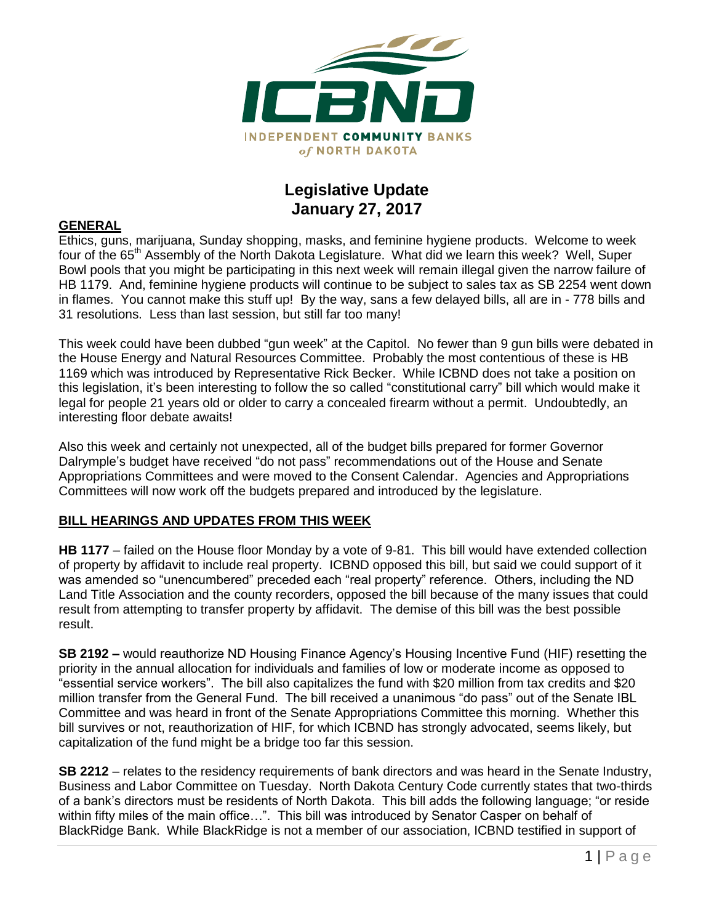

## **Legislative Update January 27, 2017**

#### **GENERAL**

Ethics, guns, marijuana, Sunday shopping, masks, and feminine hygiene products. Welcome to week four of the 65<sup>th</sup> Assembly of the North Dakota Legislature. What did we learn this week? Well, Super Bowl pools that you might be participating in this next week will remain illegal given the narrow failure of HB 1179. And, feminine hygiene products will continue to be subject to sales tax as SB 2254 went down in flames. You cannot make this stuff up! By the way, sans a few delayed bills, all are in - 778 bills and 31 resolutions. Less than last session, but still far too many!

This week could have been dubbed "gun week" at the Capitol. No fewer than 9 gun bills were debated in the House Energy and Natural Resources Committee. Probably the most contentious of these is HB 1169 which was introduced by Representative Rick Becker. While ICBND does not take a position on this legislation, it's been interesting to follow the so called "constitutional carry" bill which would make it legal for people 21 years old or older to carry a concealed firearm without a permit. Undoubtedly, an interesting floor debate awaits!

Also this week and certainly not unexpected, all of the budget bills prepared for former Governor Dalrymple's budget have received "do not pass" recommendations out of the House and Senate Appropriations Committees and were moved to the Consent Calendar. Agencies and Appropriations Committees will now work off the budgets prepared and introduced by the legislature.

#### **BILL HEARINGS AND UPDATES FROM THIS WEEK**

**HB 1177** – failed on the House floor Monday by a vote of 9-81. This bill would have extended collection of property by affidavit to include real property. ICBND opposed this bill, but said we could support of it was amended so "unencumbered" preceded each "real property" reference. Others, including the ND Land Title Association and the county recorders, opposed the bill because of the many issues that could result from attempting to transfer property by affidavit. The demise of this bill was the best possible result.

**SB 2192 –** would reauthorize ND Housing Finance Agency's Housing Incentive Fund (HIF) resetting the priority in the annual allocation for individuals and families of low or moderate income as opposed to "essential service workers". The bill also capitalizes the fund with \$20 million from tax credits and \$20 million transfer from the General Fund. The bill received a unanimous "do pass" out of the Senate IBL Committee and was heard in front of the Senate Appropriations Committee this morning. Whether this bill survives or not, reauthorization of HIF, for which ICBND has strongly advocated, seems likely, but capitalization of the fund might be a bridge too far this session.

**SB 2212** – relates to the residency requirements of bank directors and was heard in the Senate Industry, Business and Labor Committee on Tuesday. North Dakota Century Code currently states that two-thirds of a bank's directors must be residents of North Dakota. This bill adds the following language; "or reside within fifty miles of the main office…". This bill was introduced by Senator Casper on behalf of BlackRidge Bank. While BlackRidge is not a member of our association, ICBND testified in support of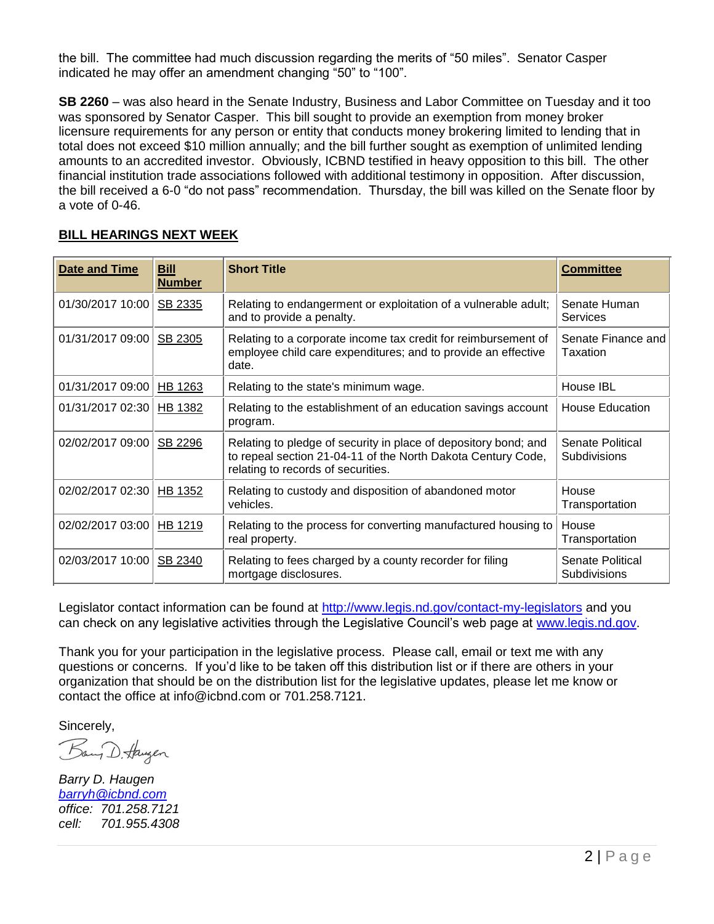the bill. The committee had much discussion regarding the merits of "50 miles". Senator Casper indicated he may offer an amendment changing "50" to "100".

**SB 2260** – was also heard in the Senate Industry, Business and Labor Committee on Tuesday and it too was sponsored by Senator Casper. This bill sought to provide an exemption from money broker licensure requirements for any person or entity that conducts money brokering limited to lending that in total does not exceed \$10 million annually; and the bill further sought as exemption of unlimited lending amounts to an accredited investor. Obviously, ICBND testified in heavy opposition to this bill. The other financial institution trade associations followed with additional testimony in opposition. After discussion, the bill received a 6-0 "do not pass" recommendation. Thursday, the bill was killed on the Senate floor by a vote of 0-46.

| <b>Date and Time</b> | <b>Bill</b><br><b>Number</b> | <b>Short Title</b>                                                                                                                                                    | <b>Committee</b>                        |
|----------------------|------------------------------|-----------------------------------------------------------------------------------------------------------------------------------------------------------------------|-----------------------------------------|
| 01/30/2017 10:00     | SB 2335                      | Relating to endangerment or exploitation of a vulnerable adult;<br>and to provide a penalty.                                                                          | Senate Human<br>Services                |
| 01/31/2017 09:00     | SB 2305                      | Relating to a corporate income tax credit for reimbursement of<br>employee child care expenditures; and to provide an effective<br>date.                              | Senate Finance and<br>Taxation          |
| 01/31/2017 09:00     | HB 1263                      | Relating to the state's minimum wage.                                                                                                                                 | House IBL                               |
| 01/31/2017 02:30     | HB 1382                      | Relating to the establishment of an education savings account<br>program.                                                                                             | <b>House Education</b>                  |
| 02/02/2017 09:00     | SB 2296                      | Relating to pledge of security in place of depository bond; and<br>to repeal section 21-04-11 of the North Dakota Century Code,<br>relating to records of securities. | Senate Political<br><b>Subdivisions</b> |
| 02/02/2017 02:30     | HB 1352                      | Relating to custody and disposition of abandoned motor<br>vehicles.                                                                                                   | House<br>Transportation                 |
| 02/02/2017 03:00     | HB 1219                      | Relating to the process for converting manufactured housing to<br>real property.                                                                                      | House<br>Transportation                 |
| 02/03/2017 10:00     | SB 2340                      | Relating to fees charged by a county recorder for filing<br>mortgage disclosures.                                                                                     | Senate Political<br><b>Subdivisions</b> |

### **BILL HEARINGS NEXT WEEK**

Legislator contact information can be found at<http://www.legis.nd.gov/contact-my-legislators> and you can check on any legislative activities through the Legislative Council's web page at [www.legis.nd.gov.](http://www.legis.nd.gov/)

Thank you for your participation in the legislative process. Please call, email or text me with any questions or concerns. If you'd like to be taken off this distribution list or if there are others in your organization that should be on the distribution list for the legislative updates, please let me know or contact the office at [info@icbnd.com](mailto:info@icbnd.com) or 701.258.7121.

Sincerely,

Bany D. Haugen

*Barry D. Haugen [barryh@icbnd.com](mailto:barryh@icbnd.com) office: 701.258.7121 cell: 701.955.4308*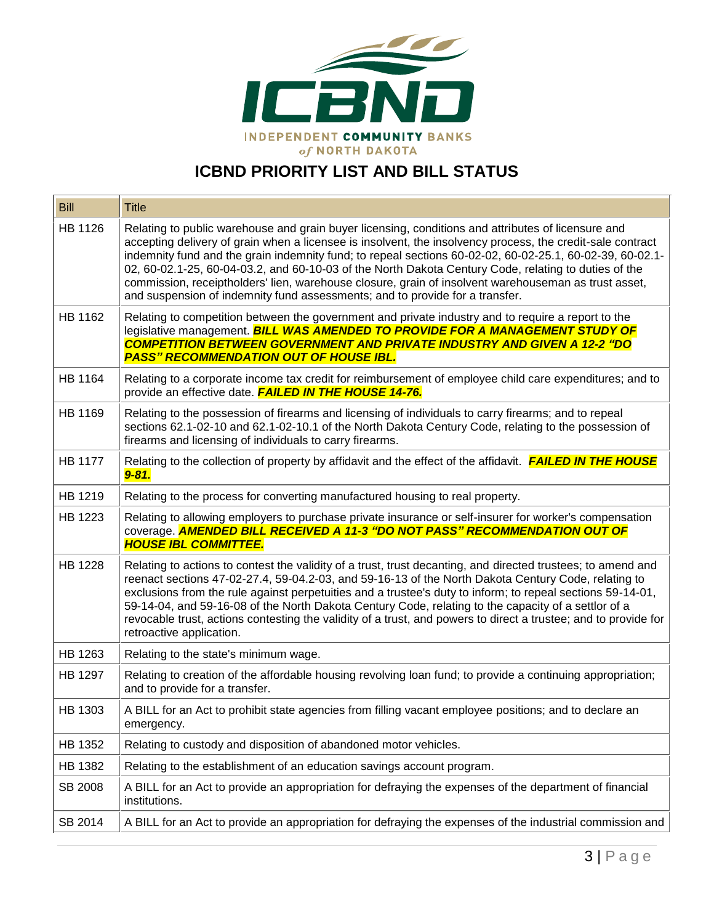

# **ICBND PRIORITY LIST AND BILL STATUS**

| <b>Bill</b>    | <b>Title</b>                                                                                                                                                                                                                                                                                                                                                                                                                                                                                                                                                                                                                 |
|----------------|------------------------------------------------------------------------------------------------------------------------------------------------------------------------------------------------------------------------------------------------------------------------------------------------------------------------------------------------------------------------------------------------------------------------------------------------------------------------------------------------------------------------------------------------------------------------------------------------------------------------------|
| HB 1126        | Relating to public warehouse and grain buyer licensing, conditions and attributes of licensure and<br>accepting delivery of grain when a licensee is insolvent, the insolvency process, the credit-sale contract<br>indemnity fund and the grain indemnity fund; to repeal sections 60-02-02, 60-02-25.1, 60-02-39, 60-02.1-<br>02, 60-02.1-25, 60-04-03.2, and 60-10-03 of the North Dakota Century Code, relating to duties of the<br>commission, receiptholders' lien, warehouse closure, grain of insolvent warehouseman as trust asset,<br>and suspension of indemnity fund assessments; and to provide for a transfer. |
| HB 1162        | Relating to competition between the government and private industry and to require a report to the<br>legislative management. <b>BILL WAS AMENDED TO PROVIDE FOR A MANAGEMENT STUDY OF</b><br><b>COMPETITION BETWEEN GOVERNMENT AND PRIVATE INDUSTRY AND GIVEN A 12-2 "DO</b><br><b>PASS" RECOMMENDATION OUT OF HOUSE IBL.</b>                                                                                                                                                                                                                                                                                               |
| HB 1164        | Relating to a corporate income tax credit for reimbursement of employee child care expenditures; and to<br>provide an effective date. FAILED IN THE HOUSE 14-76.                                                                                                                                                                                                                                                                                                                                                                                                                                                             |
| HB 1169        | Relating to the possession of firearms and licensing of individuals to carry firearms; and to repeal<br>sections 62.1-02-10 and 62.1-02-10.1 of the North Dakota Century Code, relating to the possession of<br>firearms and licensing of individuals to carry firearms.                                                                                                                                                                                                                                                                                                                                                     |
| <b>HB 1177</b> | Relating to the collection of property by affidavit and the effect of the affidavit. <b>FAILED IN THE HOUSE</b><br>$9 - 81.$                                                                                                                                                                                                                                                                                                                                                                                                                                                                                                 |
| HB 1219        | Relating to the process for converting manufactured housing to real property.                                                                                                                                                                                                                                                                                                                                                                                                                                                                                                                                                |
| HB 1223        | Relating to allowing employers to purchase private insurance or self-insurer for worker's compensation<br>coverage. AMENDED BILL RECEIVED A 11-3 "DO NOT PASS" RECOMMENDATION OUT OF<br><b>HOUSE IBL COMMITTEE.</b>                                                                                                                                                                                                                                                                                                                                                                                                          |
| HB 1228        | Relating to actions to contest the validity of a trust, trust decanting, and directed trustees; to amend and<br>reenact sections 47-02-27.4, 59-04.2-03, and 59-16-13 of the North Dakota Century Code, relating to<br>exclusions from the rule against perpetuities and a trustee's duty to inform; to repeal sections 59-14-01,<br>59-14-04, and 59-16-08 of the North Dakota Century Code, relating to the capacity of a settlor of a<br>revocable trust, actions contesting the validity of a trust, and powers to direct a trustee; and to provide for<br>retroactive application.                                      |
| HB 1263        | Relating to the state's minimum wage.                                                                                                                                                                                                                                                                                                                                                                                                                                                                                                                                                                                        |
| HB 1297        | Relating to creation of the affordable housing revolving loan fund; to provide a continuing appropriation;<br>and to provide for a transfer.                                                                                                                                                                                                                                                                                                                                                                                                                                                                                 |
| HB 1303        | A BILL for an Act to prohibit state agencies from filling vacant employee positions; and to declare an<br>emergency.                                                                                                                                                                                                                                                                                                                                                                                                                                                                                                         |
| HB 1352        | Relating to custody and disposition of abandoned motor vehicles.                                                                                                                                                                                                                                                                                                                                                                                                                                                                                                                                                             |
| HB 1382        | Relating to the establishment of an education savings account program.                                                                                                                                                                                                                                                                                                                                                                                                                                                                                                                                                       |
| SB 2008        | A BILL for an Act to provide an appropriation for defraying the expenses of the department of financial<br>institutions.                                                                                                                                                                                                                                                                                                                                                                                                                                                                                                     |
| SB 2014        | A BILL for an Act to provide an appropriation for defraying the expenses of the industrial commission and                                                                                                                                                                                                                                                                                                                                                                                                                                                                                                                    |